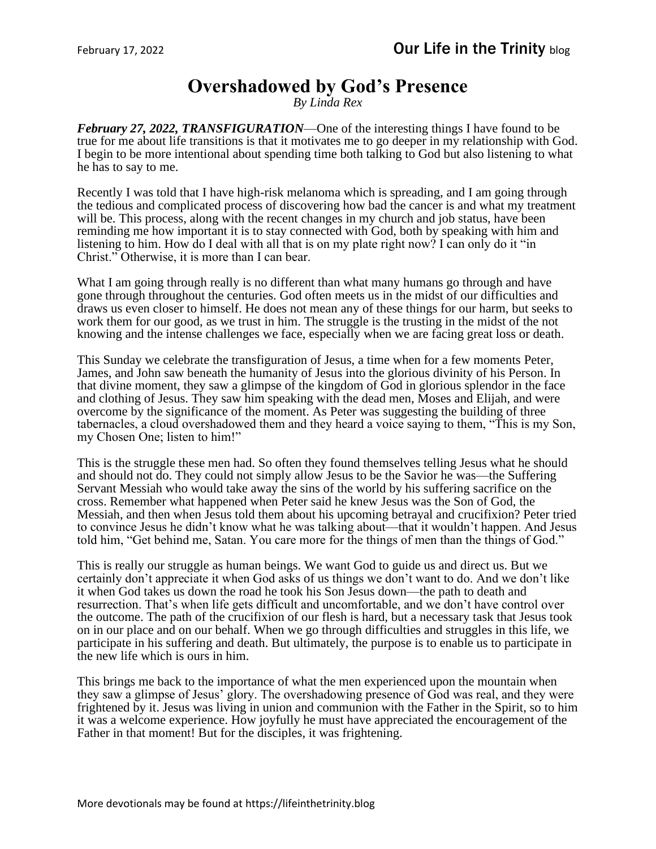## **Overshadowed by God's Presence**

*By Linda Rex*

*February 27, 2022, TRANSFIGURATION*—One of the interesting things I have found to be true for me about life transitions is that it motivates me to go deeper in my relationship with God. I begin to be more intentional about spending time both talking to God but also listening to what he has to say to me.

Recently I was told that I have high-risk melanoma which is spreading, and I am going through the tedious and complicated process of discovering how bad the cancer is and what my treatment will be. This process, along with the recent changes in my church and job status, have been reminding me how important it is to stay connected with God, both by speaking with him and listening to him. How do I deal with all that is on my plate right now? I can only do it "in Christ." Otherwise, it is more than I can bear.

What I am going through really is no different than what many humans go through and have gone through throughout the centuries. God often meets us in the midst of our difficulties and draws us even closer to himself. He does not mean any of these things for our harm, but seeks to work them for our good, as we trust in him. The struggle is the trusting in the midst of the not knowing and the intense challenges we face, especially when we are facing great loss or death.

This Sunday we celebrate the transfiguration of Jesus, a time when for a few moments Peter, James, and John saw beneath the humanity of Jesus into the glorious divinity of his Person. In that divine moment, they saw a glimpse of the kingdom of God in glorious splendor in the face and clothing of Jesus. They saw him speaking with the dead men, Moses and Elijah, and were overcome by the significance of the moment. As Peter was suggesting the building of three tabernacles, a cloud overshadowed them and they heard a voice saying to them, "This is my Son, my Chosen One; listen to him!"

This is the struggle these men had. So often they found themselves telling Jesus what he should and should not do. They could not simply allow Jesus to be the Savior he was—the Suffering Servant Messiah who would take away the sins of the world by his suffering sacrifice on the cross. Remember what happened when Peter said he knew Jesus was the Son of God, the Messiah, and then when Jesus told them about his upcoming betrayal and crucifixion? Peter tried to convince Jesus he didn't know what he was talking about—that it wouldn't happen. And Jesus told him, "Get behind me, Satan. You care more for the things of men than the things of God."

This is really our struggle as human beings. We want God to guide us and direct us. But we certainly don't appreciate it when God asks of us things we don't want to do. And we don't like it when God takes us down the road he took his Son Jesus down—the path to death and resurrection. That's when life gets difficult and uncomfortable, and we don't have control over the outcome. The path of the crucifixion of our flesh is hard, but a necessary task that Jesus took on in our place and on our behalf. When we go through difficulties and struggles in this life, we participate in his suffering and death. But ultimately, the purpose is to enable us to participate in the new life which is ours in him.

This brings me back to the importance of what the men experienced upon the mountain when they saw a glimpse of Jesus' glory. The overshadowing presence of God was real, and they were frightened by it. Jesus was living in union and communion with the Father in the Spirit, so to him it was a welcome experience. How joyfully he must have appreciated the encouragement of the Father in that moment! But for the disciples, it was frightening.